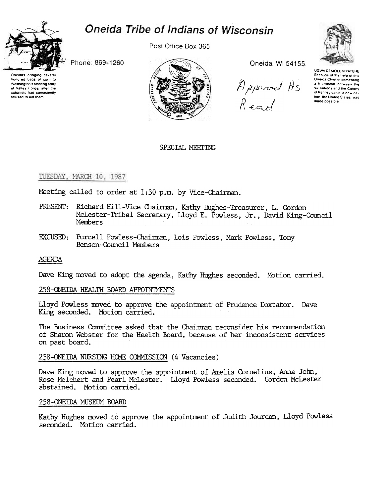# Oneida Tribe of Indians of Wisconsin



hundred bags of corn to

Washington's starving army

at Valley Forge, after the

colonists had consistently

refused to aid them

Post Office Box 365



Oneida, WI 54155.

Approved As<br>Read



UGWA DEMOLUM YATEHE Because of the help of this Oneida Chief in cementing a friendship between the six nations and the Colony of Pennsylvania, a new nahon, the United States, was made possible

SPECIAL MEETING

## TUESDAY, MARCH 10, 1987

Phone: 869-1260

Meeting called to order at 1:30 p.m. by Vice-Chairman.

- PRESENT: Richard Hill-Vice Chairman, Kathy Hughes-Treasurer, L. Gordon McLester-Tribal Secretary, Lloyd E. Powless, Jr., David King-Council Members
- EXCUSED: Purcell Powless-Chairman, Lois Powless, Mark Powless, Tony Benson-Council Members

## **AGENDA**

Dave King moved to adopt the agenda, Kathy Hughes seconded. Motion carried.

## 258-ONEIDA HEALTH BOARD APPOINIMENTS

Lloyd Powless moved to approve the appointment of Prudence Doxtator. Dave King seconded. Motion carried.

The Business Committee asked that the Chairman reconsider his recommendation of Sharon Webster for the Health Board, because of her inconsistent services on past board.

258-ONEIDA NURSING HOME COMMISSION (4 Vacancies)

Dave King moved to approve the appointment of Amelia Cornelius, Anna John, Rose Melchert and Pearl McLester. Lloyd Powless seconded. Gordon McLester abstained. Motion carried.

## 258-ONEIDA MUSEUM BOARD

Kathy Hughes moved to approve the appointment of Judith Jourdan, Lloyd Powless seconded. Motion carried.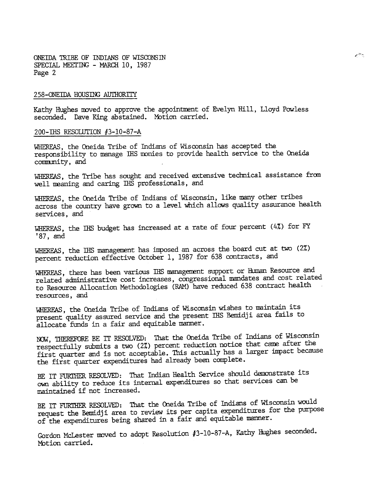### 258-ONEIDA HOUSING AUTHORITY

Kathy Hughes moved to approve the appointment of Evelyn Hill, Lloyd Powless seconded. Dave King abstained. Motion carried.

 $e^{2\pi\zeta}$ 

### 200-THS RESOLUTION #3-10-87-A

WHEREAS, the Oneida Tribe of Indians of Wisconsin has accepted the responsibility to manage IHS monies to provide health service to the Oneida community, and

WHEREAS, the Tribe has sought and received extensive technical assistance from well meaning and caring IHS professionals, and

WHEREAS, the Oneida Tribe of Indians of Wisconsin, like many other tribes across the country have grown to a level which allows quality assurance health services, and

WHEREAS, the IHS budget has increased at a rate of four percent (4%) for FY  $'87$ , and

WHEREAS, the IHS management has imposed an across the board cut at two (2%) percent reduction effective October 1, 1987 for 638 contracts, and

WHEREAS, there has been various IHS management support or Human Resource and related administrative cost increases, congressional mandates and cost related to Resource Allocation Methodologies (RAM) have reduced 638 contract health resources. and

WHEREAS, the Oneida Tribe of Indians of Wisconsin wishes to maintain its present quality assured service and the present IHS Bemidji area fails to allocate funds in a fair and equitable manner.

NOW, THEREFORE BE IT RESOLVED: That the Oneida Tribe of Indians of Wisconsin respectfully submits a two (2%) percent reduction notice that came after the first quarter and is not acceptable. This actually has a larger impact because the first quarter expenditures had already been complete.

BE IT FURTHER RESOLVED: That Indian Health Service should demonstrate its own ability to reduce its internal expenditures so that services can be maintained if not increased.

BE IT FURTHER RESOLVED: That the Oneida Tribe of Indians of Wisconsin would request the Bemidji area to review its per capita expenditures for the purpose of the expenditures being shared in a fair and equitable manner.

Gordon McLester moved to adopt Resolution #3-10-87-A, Kathy Hughes seconded. Motion carried.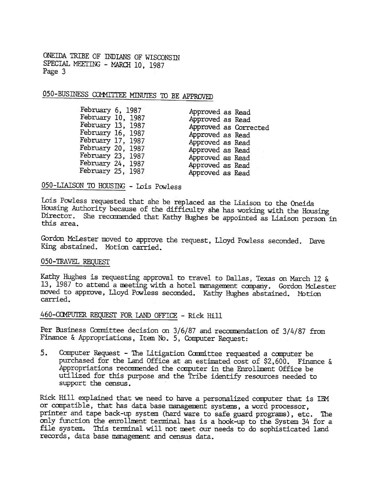## 050-BUSINESS COMMITTEE MINUTES TO BE APPROVED

## 050-LIAISON TO HOUSING - Lois Powless

Lois Powless requested that she be replaced as the Liaison to the Oneida Housing Authority because of the difficulty she has working with the Housing Director. She recommended that Kathy Hughes be appointed as Liaison person in this area.

Gordon McLester moved to approve the request, Lloyd Powless seconded. Dave King abstained. Motion carried.

### 050-TRAVEL REQUEST

Kathy Hughes is requesting approval to travel to Dallas, Texas on March 12 & 13, 1987 to attend a meeting with a hotel management company. Gordon McLester moved to approve, Lloyd Powless seconded. Kathy Hughes abstained. Motion carried.

## 460-COMPUTER REQUEST FOR LAND OFFICE - Rick Hill

Per Business Committee decision on 3/6/87 and recommendation of 3/4/87 from Finance & Appropriations, Item No. 5, Computer Request:

Computer Request -The Litigation Committee requested a computer be 5. purchased for the Land Office at an estimated cost of \$2,600. Finance & Appropriations recommended the computer in the Enrollment Office be uti lized for this purpose and the Tribe identify resources needed to support the census.

Rick Hill explained that we need to have a personalized computer that is IBM or compatible, that has data base management systems, a word processor, printer and tape back-up systen (hard ware to safe guard programs), etc. The only function the enrollment terminal has is a hook-up to the System 34 for a file system. This terminal will not meet our needs to do sophisticated land records, data base management and census data.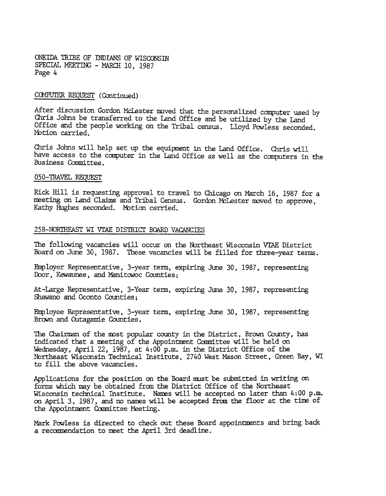### COMPUTER REQUEST (Continued)

After discussion Gordon McLester moved that the personalized computer used by Chris Johns be transferred to the Land Office and be utilized by the Land Office and the people working on the Tribal census. Lloyd Powless seconded. Motion carried.

Chris Johns will help set up the equipment in the Land Office. Chris will have access to the computer in the Land Office as well as the computers in the Business Committee.

#### 050-TRAVEL REQUEST

Rick Hill is requesting approval to travel to Chicago on March 16, 1987 for a meeting on Land Claims and Tribal Census. Gordon McLester moved to approve, Kathy Hughes seconded. Motion carried.

#### 258-NORTHEAST WI VTAE DISTRICT BOARD VACANCIES

The following vacancies will occur on the Northeast Wisconsin VTAE District Board on June 30, 1987. These vacancies will be filled for three-year terms.

Fmp layer Representative, 3-year term, expiring June 30, 1987, representing Door, Kewaunee, and Manitowoc Counties;

At-Large Representative, 3-Year term, expiring June 30, 1987, representing Shawano and Oconto Counties;

Employee Representative, 3-year term, expiring June 30, 1987, representing Brown and Outagamie Counties.

The Chairman of the most popular county in the District, Brown County, has indicated that a meeting of the Appointment Counittee will be held on Wednesday, April 22, 1987, at 4:00 p.m. in the District Office of the Northeast Wisconsin Technical Institute, 2740 West Mason Street, Green Bay, WI to fill the above vacancies.

Applications for the position on the Board must be submitted in writing on. forms which may be obtained from the District Office of the Northeast Wisconsin technical Institute. Names will be accepted no later than 4:00 p.m. on April 3, 1987, and no names will be accepted from the floor at the time of the Appointment Committee Meeting.

Mark Powless is directed to check out these Board appointments and bring back a recormendation to neet the April 3rd deadline.